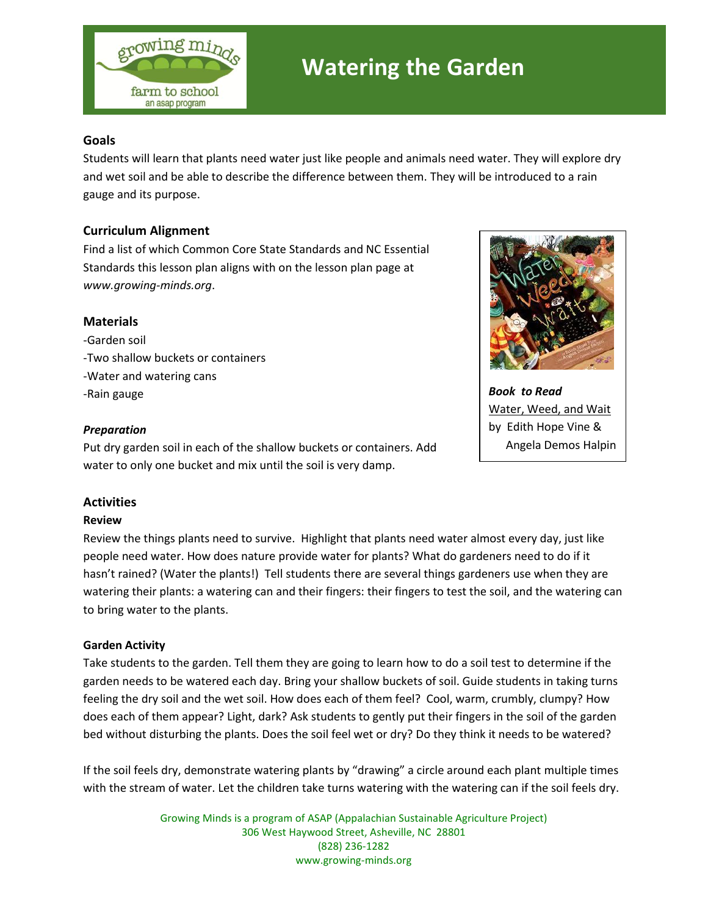

# **Watering the Garden**

## **Goals**

Students will learn that plants need water just like people and animals need water. They will explore dry and wet soil and be able to describe the difference between them. They will be introduced to a rain gauge and its purpose.

## **Curriculum Alignment**

Find a list of which Common Core State Standards and NC Essential Standards this lesson plan aligns with on the lesson plan page at *www.growing-minds.org*.

#### **Materials**

-Garden soil -Two shallow buckets or containers -Water and watering cans -Rain gauge

#### *Preparation*

Put dry garden soil in each of the shallow buckets or containers. Add water to only one bucket and mix until the soil is very damp.



*Book to Read* Water, Weed, and Wait by Edith Hope Vine & Angela Demos Halpin

# **Activities**

#### **Review**

Review the things plants need to survive. Highlight that plants need water almost every day, just like people need water. How does nature provide water for plants? What do gardeners need to do if it hasn't rained? (Water the plants!) Tell students there are several things gardeners use when they are watering their plants: a watering can and their fingers: their fingers to test the soil, and the watering can to bring water to the plants.

#### **Garden Activity**

Take students to the garden. Tell them they are going to learn how to do a soil test to determine if the garden needs to be watered each day. Bring your shallow buckets of soil. Guide students in taking turns feeling the dry soil and the wet soil. How does each of them feel? Cool, warm, crumbly, clumpy? How does each of them appear? Light, dark? Ask students to gently put their fingers in the soil of the garden bed without disturbing the plants. Does the soil feel wet or dry? Do they think it needs to be watered?

If the soil feels dry, demonstrate watering plants by "drawing" a circle around each plant multiple times with the stream of water. Let the children take turns watering with the watering can if the soil feels dry.

> Growing Minds is a program of ASAP (Appalachian Sustainable Agriculture Project) 306 West Haywood Street, Asheville, NC 28801 (828) 236-1282 www.growing-minds.org